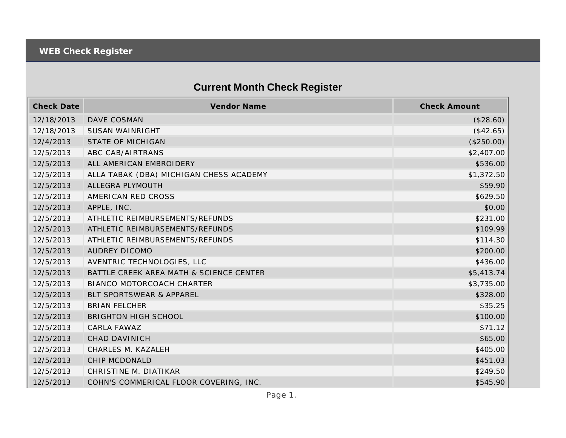## **Current Month Check Register**

| <b>Check Date</b> | Vendor Name                             | <b>Check Amount</b> |
|-------------------|-----------------------------------------|---------------------|
| 12/18/2013        | DAVE COSMAN                             | (\$28.60)           |
| 12/18/2013        | <b>SUSAN WAINRIGHT</b>                  | (\$42.65)           |
| 12/4/2013         | <b>STATE OF MICHIGAN</b>                | (\$250.00)          |
| 12/5/2013         | ABC CAB/AIRTRANS                        | \$2,407.00          |
| 12/5/2013         | ALL AMERICAN EMBROIDERY                 | \$536.00            |
| 12/5/2013         | ALLA TABAK (DBA) MICHIGAN CHESS ACADEMY | \$1,372.50          |
| 12/5/2013         | ALLEGRA PLYMOUTH                        | \$59.90             |
| 12/5/2013         | AMERICAN RED CROSS                      | \$629.50            |
| 12/5/2013         | APPLE, INC.                             | \$0.00              |
| 12/5/2013         | ATHLETIC REIMBURSEMENTS/REFUNDS         | \$231.00            |
| 12/5/2013         | ATHLETIC REIMBURSEMENTS/REFUNDS         | \$109.99            |
| 12/5/2013         | ATHLETIC REIMBURSEMENTS/REFUNDS         | \$114.30            |
| 12/5/2013         | <b>AUDREY DICOMO</b>                    | \$200.00            |
| 12/5/2013         | AVENTRIC TECHNOLOGIES, LLC              | \$436.00            |
| 12/5/2013         | BATTLE CREEK AREA MATH & SCIENCE CENTER | \$5,413.74          |
| 12/5/2013         | BIANCO MOTORCOACH CHARTER               | \$3,735.00          |
| 12/5/2013         | BLT SPORTSWEAR & APPAREL                | \$328.00            |
| 12/5/2013         | <b>BRIAN FELCHER</b>                    | \$35.25             |
| 12/5/2013         | <b>BRIGHTON HIGH SCHOOL</b>             | \$100.00            |
| 12/5/2013         | CARLA FAWAZ                             | \$71.12             |
| 12/5/2013         | <b>CHAD DAVINICH</b>                    | \$65.00             |
| 12/5/2013         | CHARLES M. KAZALEH                      | \$405.00            |
| 12/5/2013         | CHIP MCDONALD                           | \$451.03            |
| 12/5/2013         | CHRISTINE M. DIATIKAR                   | \$249.50            |
| 12/5/2013         | COHN'S COMMERICAL FLOOR COVERING, INC.  | \$545.90            |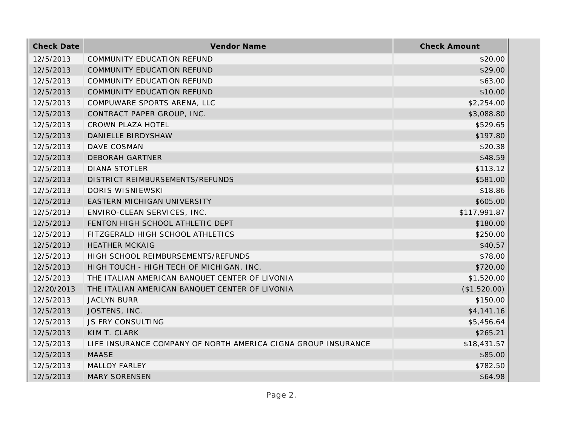| <b>Check Date</b> | Vendor Name                                                   | <b>Check Amount</b> |
|-------------------|---------------------------------------------------------------|---------------------|
| 12/5/2013         | <b>COMMUNITY EDUCATION REFUND</b>                             | \$20.00             |
| 12/5/2013         | COMMUNITY EDUCATION REFUND                                    | \$29.00             |
| 12/5/2013         | COMMUNITY EDUCATION REFUND                                    | \$63.00             |
| 12/5/2013         | COMMUNITY EDUCATION REFUND                                    | \$10.00             |
| 12/5/2013         | COMPUWARE SPORTS ARENA, LLC                                   | \$2,254.00          |
| 12/5/2013         | CONTRACT PAPER GROUP, INC.                                    | \$3,088.80          |
| 12/5/2013         | <b>CROWN PLAZA HOTEL</b>                                      | \$529.65            |
| 12/5/2013         | DANIELLE BIRDYSHAW                                            | \$197.80            |
| 12/5/2013         | DAVE COSMAN                                                   | \$20.38             |
| 12/5/2013         | <b>DEBORAH GARTNER</b>                                        | \$48.59             |
| 12/5/2013         | <b>DIANA STOTLER</b>                                          | \$113.12            |
| 12/5/2013         | DISTRICT REIMBURSEMENTS/REFUNDS                               | \$581.00            |
| 12/5/2013         | DORIS WISNIEWSKI                                              | \$18.86             |
| 12/5/2013         | EASTERN MICHIGAN UNIVERSITY                                   | \$605.00            |
| 12/5/2013         | ENVIRO-CLEAN SERVICES, INC.                                   | \$117,991.87        |
| 12/5/2013         | FENTON HIGH SCHOOL ATHLETIC DEPT                              | \$180.00            |
| 12/5/2013         | FITZGERALD HIGH SCHOOL ATHLETICS                              | \$250.00            |
| 12/5/2013         | <b>HEATHER MCKAIG</b>                                         | \$40.57             |
| 12/5/2013         | HIGH SCHOOL REIMBURSEMENTS/REFUNDS                            | \$78.00             |
| 12/5/2013         | HIGH TOUCH - HIGH TECH OF MICHIGAN, INC.                      | \$720.00            |
| 12/5/2013         | THE ITALIAN AMERICAN BANQUET CENTER OF LIVONIA                | \$1,520.00          |
| 12/20/2013        | THE ITALIAN AMERICAN BANQUET CENTER OF LIVONIA                | (\$1,520.00)        |
| 12/5/2013         | <b>JACLYN BURR</b>                                            | \$150.00            |
| 12/5/2013         | JOSTENS, INC.                                                 | \$4,141.16          |
| 12/5/2013         | <b>JS FRY CONSULTING</b>                                      | \$5,456.64          |
| 12/5/2013         | KIM T. CLARK                                                  | \$265.21            |
| 12/5/2013         | LIFE INSURANCE COMPANY OF NORTH AMERICA CIGNA GROUP INSURANCE | \$18,431.57         |
| 12/5/2013         | <b>MAASE</b>                                                  | \$85.00             |
| 12/5/2013         | <b>MALLOY FARLEY</b>                                          | \$782.50            |
| 12/5/2013         | <b>MARY SORENSEN</b>                                          | \$64.98             |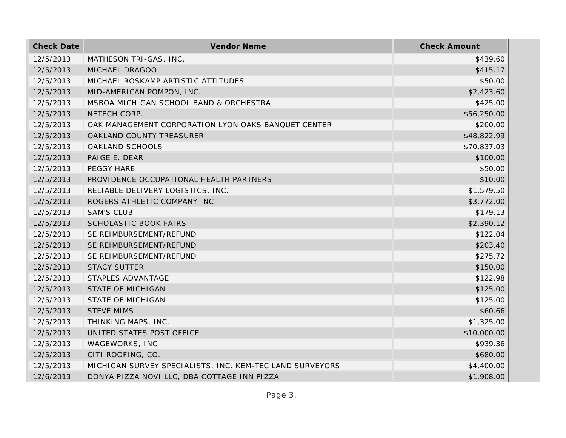| <b>Check Date</b> | Vendor Name                                              | <b>Check Amount</b> |
|-------------------|----------------------------------------------------------|---------------------|
| 12/5/2013         | MATHESON TRI-GAS, INC.                                   | \$439.60            |
| 12/5/2013         | MICHAEL DRAGOO                                           | \$415.17            |
| 12/5/2013         | MICHAEL ROSKAMP ARTISTIC ATTITUDES                       | \$50.00             |
| 12/5/2013         | MID-AMERICAN POMPON, INC.                                | \$2,423.60          |
| 12/5/2013         | MSBOA MICHIGAN SCHOOL BAND & ORCHESTRA                   | \$425.00            |
| 12/5/2013         | NETECH CORP.                                             | \$56,250.00         |
| 12/5/2013         | OAK MANAGEMENT CORPORATION LYON OAKS BANQUET CENTER      | \$200.00            |
| 12/5/2013         | OAKLAND COUNTY TREASURER                                 | \$48,822.99         |
| 12/5/2013         | OAKLAND SCHOOLS                                          | \$70,837.03         |
| 12/5/2013         | PAIGE E. DEAR                                            | \$100.00            |
| 12/5/2013         | PEGGY HARE                                               | \$50.00             |
| 12/5/2013         | PROVIDENCE OCCUPATIONAL HEALTH PARTNERS                  | \$10.00             |
| 12/5/2013         | RELIABLE DELIVERY LOGISTICS, INC.                        | \$1,579.50          |
| 12/5/2013         | ROGERS ATHLETIC COMPANY INC.                             | \$3,772.00          |
| 12/5/2013         | <b>SAM'S CLUB</b>                                        | \$179.13            |
| 12/5/2013         | <b>SCHOLASTIC BOOK FAIRS</b>                             | \$2,390.12          |
| 12/5/2013         | SE REIMBURSEMENT/REFUND                                  | \$122.04            |
| 12/5/2013         | SE REIMBURSEMENT/REFUND                                  | \$203.40            |
| 12/5/2013         | SE REIMBURSEMENT/REFUND                                  | \$275.72            |
| 12/5/2013         | <b>STACY SUTTER</b>                                      | \$150.00            |
| 12/5/2013         | STAPLES ADVANTAGE                                        | \$122.98            |
| 12/5/2013         | <b>STATE OF MICHIGAN</b>                                 | \$125.00            |
| 12/5/2013         | <b>STATE OF MICHIGAN</b>                                 | \$125.00            |
| 12/5/2013         | <b>STEVE MIMS</b>                                        | \$60.66             |
| 12/5/2013         | THINKING MAPS, INC.                                      | \$1,325.00          |
| 12/5/2013         | UNITED STATES POST OFFICE                                | \$10,000.00         |
| 12/5/2013         | WAGEWORKS, INC                                           | \$939.36            |
| 12/5/2013         | CITI ROOFING, CO.                                        | \$680.00            |
| 12/5/2013         | MICHIGAN SURVEY SPECIALISTS, INC. KEM-TEC LAND SURVEYORS | \$4,400.00          |
| 12/6/2013         | DONYA PIZZA NOVI LLC, DBA COTTAGE INN PIZZA              | \$1,908.00          |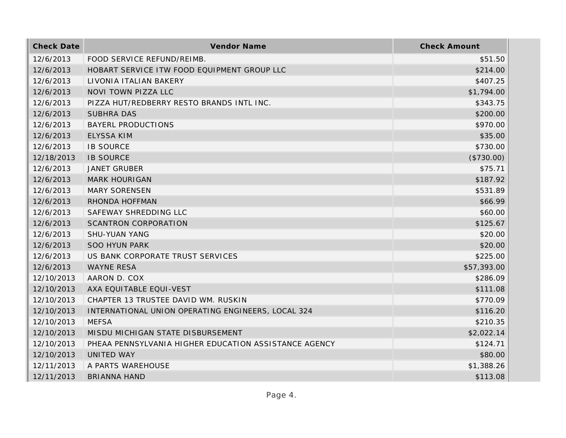| <b>Check Date</b> | Vendor Name                                           | <b>Check Amount</b> |
|-------------------|-------------------------------------------------------|---------------------|
| 12/6/2013         | FOOD SERVICE REFUND/REIMB.                            | \$51.50             |
| 12/6/2013         | HOBART SERVICE ITW FOOD EQUIPMENT GROUP LLC           | \$214.00            |
| 12/6/2013         | LIVONIA ITALIAN BAKERY                                | \$407.25            |
| 12/6/2013         | NOVI TOWN PIZZA LLC                                   | \$1,794.00          |
| 12/6/2013         | PIZZA HUT/REDBERRY RESTO BRANDS INTL INC.             | \$343.75            |
| 12/6/2013         | <b>SUBHRA DAS</b>                                     | \$200.00            |
| 12/6/2013         | <b>BAYERL PRODUCTIONS</b>                             | \$970.00            |
| 12/6/2013         | <b>ELYSSA KIM</b>                                     | \$35.00             |
| 12/6/2013         | <b>IB SOURCE</b>                                      | \$730.00            |
| 12/18/2013        | <b>IB SOURCE</b>                                      | (\$730.00)          |
| 12/6/2013         | <b>JANET GRUBER</b>                                   | \$75.71             |
| 12/6/2013         | <b>MARK HOURIGAN</b>                                  | \$187.92            |
| 12/6/2013         | <b>MARY SORENSEN</b>                                  | \$531.89            |
| 12/6/2013         | RHONDA HOFFMAN                                        | \$66.99             |
| 12/6/2013         | SAFEWAY SHREDDING LLC                                 | \$60.00             |
| 12/6/2013         | <b>SCANTRON CORPORATION</b>                           | \$125.67            |
| 12/6/2013         | <b>SHU-YUAN YANG</b>                                  | \$20.00             |
| 12/6/2013         | <b>SOO HYUN PARK</b>                                  | \$20.00             |
| 12/6/2013         | US BANK CORPORATE TRUST SERVICES                      | \$225.00            |
| 12/6/2013         | <b>WAYNE RESA</b>                                     | \$57,393.00         |
| 12/10/2013        | AARON D. COX                                          | \$286.09            |
| 12/10/2013        | AXA EQUITABLE EQUI-VEST                               | \$111.08            |
| 12/10/2013        | CHAPTER 13 TRUSTEE DAVID WM. RUSKIN                   | \$770.09            |
| 12/10/2013        | INTERNATIONAL UNION OPERATING ENGINEERS, LOCAL 324    | \$116.20            |
| 12/10/2013        | <b>MEFSA</b>                                          | \$210.35            |
| 12/10/2013        | MISDU MICHIGAN STATE DISBURSEMENT                     | \$2,022.14          |
| 12/10/2013        | PHEAA PENNSYLVANIA HIGHER EDUCATION ASSISTANCE AGENCY | \$124.71            |
| 12/10/2013        | UNITED WAY                                            | \$80.00             |
| 12/11/2013        | A PARTS WAREHOUSE                                     | \$1,388.26          |
| 12/11/2013        | <b>BRIANNA HAND</b>                                   | \$113.08            |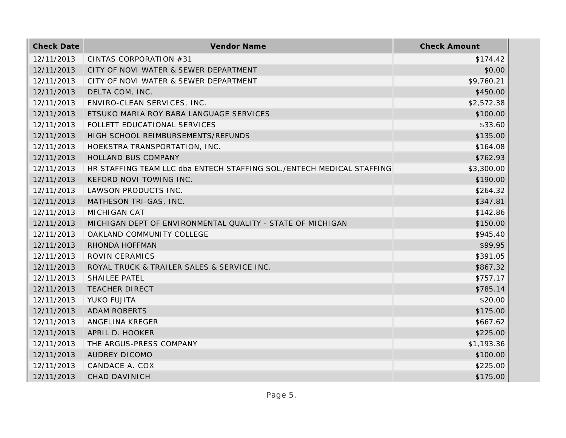| <b>Check Date</b> | Vendor Name                                                           | <b>Check Amount</b> |
|-------------------|-----------------------------------------------------------------------|---------------------|
| 12/11/2013        | CINTAS CORPORATION #31                                                | \$174.42            |
| 12/11/2013        | CITY OF NOVI WATER & SEWER DEPARTMENT                                 | \$0.00              |
| 12/11/2013        | CITY OF NOVI WATER & SEWER DEPARTMENT                                 | \$9,760.21          |
| 12/11/2013        | DELTA COM, INC.                                                       | \$450.00            |
| 12/11/2013        | ENVIRO-CLEAN SERVICES, INC.                                           | \$2,572.38          |
| 12/11/2013        | ETSUKO MARIA ROY BABA LANGUAGE SERVICES                               | \$100.00            |
| 12/11/2013        | FOLLETT EDUCATIONAL SERVICES                                          | \$33.60             |
| 12/11/2013        | HIGH SCHOOL REIMBURSEMENTS/REFUNDS                                    | \$135.00            |
| 12/11/2013        | HOEKSTRA TRANSPORTATION, INC.                                         | \$164.08            |
| 12/11/2013        | HOLLAND BUS COMPANY                                                   | \$762.93            |
| 12/11/2013        | HR STAFFING TEAM LLC dba ENTECH STAFFING SOL./ENTECH MEDICAL STAFFING | \$3,300.00          |
| 12/11/2013        | KEFORD NOVI TOWING INC.                                               | \$190.00            |
| 12/11/2013        | LAWSON PRODUCTS INC.                                                  | \$264.32            |
| 12/11/2013        | MATHESON TRI-GAS, INC.                                                | \$347.81            |
| 12/11/2013        | <b>MICHIGAN CAT</b>                                                   | \$142.86            |
| 12/11/2013        | MICHIGAN DEPT OF ENVIRONMENTAL QUALITY - STATE OF MICHIGAN            | \$150.00            |
| 12/11/2013        | OAKLAND COMMUNITY COLLEGE                                             | \$945.40            |
| 12/11/2013        | RHONDA HOFFMAN                                                        | \$99.95             |
| 12/11/2013        | ROVIN CERAMICS                                                        | \$391.05            |
| 12/11/2013        | ROYAL TRUCK & TRAILER SALES & SERVICE INC.                            | \$867.32            |
| 12/11/2013        | <b>SHAILEE PATEL</b>                                                  | \$757.17            |
| 12/11/2013        | <b>TEACHER DIRECT</b>                                                 | \$785.14            |
| 12/11/2013        | YUKO FUJITA                                                           | \$20.00             |
| 12/11/2013        | <b>ADAM ROBERTS</b>                                                   | \$175.00            |
| 12/11/2013        | ANGELINA KREGER                                                       | \$667.62            |
| 12/11/2013        | APRIL D. HOOKER                                                       | \$225.00            |
| 12/11/2013        | THE ARGUS-PRESS COMPANY                                               | \$1,193.36          |
| 12/11/2013        | <b>AUDREY DICOMO</b>                                                  | \$100.00            |
| 12/11/2013        | CANDACE A. COX                                                        | \$225.00            |
| 12/11/2013        | <b>CHAD DAVINICH</b>                                                  | \$175.00            |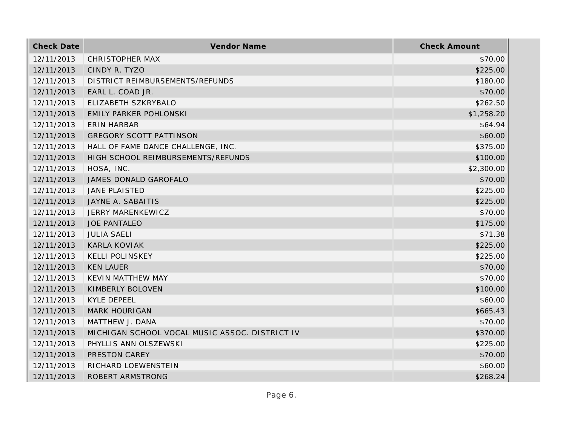| <b>Check Date</b> | Vendor Name                                    | <b>Check Amount</b> |
|-------------------|------------------------------------------------|---------------------|
| 12/11/2013        | <b>CHRISTOPHER MAX</b>                         | \$70.00             |
| 12/11/2013        | CINDY R. TYZO                                  | \$225.00            |
| 12/11/2013        | DISTRICT REIMBURSEMENTS/REFUNDS                | \$180.00            |
| 12/11/2013        | EARL L. COAD JR.                               | \$70.00             |
| 12/11/2013        | ELIZABETH SZKRYBALO                            | \$262.50            |
| 12/11/2013        | <b>EMILY PARKER POHLONSKI</b>                  | \$1,258.20          |
| 12/11/2013        | <b>ERIN HARBAR</b>                             | \$64.94             |
| 12/11/2013        | <b>GREGORY SCOTT PATTINSON</b>                 | \$60.00             |
| 12/11/2013        | HALL OF FAME DANCE CHALLENGE, INC.             | \$375.00            |
| 12/11/2013        | HIGH SCHOOL REIMBURSEMENTS/REFUNDS             | \$100.00            |
| 12/11/2013        | HOSA, INC.                                     | \$2,300.00          |
| 12/11/2013        | JAMES DONALD GAROFALO                          | \$70.00             |
| 12/11/2013        | <b>JANE PLAISTED</b>                           | \$225.00            |
| 12/11/2013        | JAYNE A. SABAITIS                              | \$225.00            |
| 12/11/2013        | JERRY MARENKEWICZ                              | \$70.00             |
| 12/11/2013        | <b>JOE PANTALEO</b>                            | \$175.00            |
| 12/11/2013        | <b>JULIA SAELI</b>                             | \$71.38             |
| 12/11/2013        | <b>KARLA KOVIAK</b>                            | \$225.00            |
| 12/11/2013        | <b>KELLI POLINSKEY</b>                         | \$225.00            |
| 12/11/2013        | <b>KEN LAUER</b>                               | \$70.00             |
| 12/11/2013        | <b>KEVIN MATTHEW MAY</b>                       | \$70.00             |
| 12/11/2013        | KIMBERLY BOLOVEN                               | \$100.00            |
| 12/11/2013        | <b>KYLE DEPEEL</b>                             | \$60.00             |
| 12/11/2013        | <b>MARK HOURIGAN</b>                           | \$665.43            |
| 12/11/2013        | MATTHEW J. DANA                                | \$70.00             |
| 12/11/2013        | MICHIGAN SCHOOL VOCAL MUSIC ASSOC. DISTRICT IV | \$370.00            |
| 12/11/2013        | PHYLLIS ANN OLSZEWSKI                          | \$225.00            |
| 12/11/2013        | PRESTON CAREY                                  | \$70.00             |
| 12/11/2013        | RICHARD LOEWENSTEIN                            | \$60.00             |
| 12/11/2013        | ROBERT ARMSTRONG                               | \$268.24            |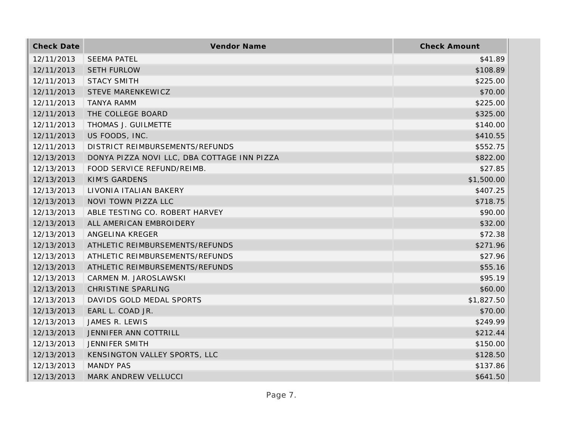| <b>Check Date</b> | <b>Vendor Name</b>                          | <b>Check Amount</b> |
|-------------------|---------------------------------------------|---------------------|
| 12/11/2013        | <b>SEEMA PATEL</b>                          | \$41.89             |
| 12/11/2013        | <b>SETH FURLOW</b>                          | \$108.89            |
| 12/11/2013        | <b>STACY SMITH</b>                          | \$225.00            |
| 12/11/2013        | STEVE MARENKEWICZ                           | \$70.00             |
| 12/11/2013        | <b>TANYA RAMM</b>                           | \$225.00            |
| 12/11/2013        | THE COLLEGE BOARD                           | \$325.00            |
| 12/11/2013        | THOMAS J. GUILMETTE                         | \$140.00            |
| 12/11/2013        | US FOODS, INC.                              | \$410.55            |
| 12/11/2013        | DISTRICT REIMBURSEMENTS/REFUNDS             | \$552.75            |
| 12/13/2013        | DONYA PIZZA NOVI LLC, DBA COTTAGE INN PIZZA | \$822.00            |
| 12/13/2013        | FOOD SERVICE REFUND/REIMB.                  | \$27.85             |
| 12/13/2013        | <b>KIM'S GARDENS</b>                        | \$1,500.00          |
| 12/13/2013        | LIVONIA ITALIAN BAKERY                      | \$407.25            |
| 12/13/2013        | NOVI TOWN PIZZA LLC                         | \$718.75            |
| 12/13/2013        | ABLE TESTING CO. ROBERT HARVEY              | \$90.00             |
| 12/13/2013        | ALL AMERICAN EMBROIDERY                     | \$32.00             |
| 12/13/2013        | ANGELINA KREGER                             | \$72.38             |
| 12/13/2013        | ATHLETIC REIMBURSEMENTS/REFUNDS             | \$271.96            |
| 12/13/2013        | ATHLETIC REIMBURSEMENTS/REFUNDS             | \$27.96             |
| 12/13/2013        | ATHLETIC REIMBURSEMENTS/REFUNDS             | \$55.16             |
| 12/13/2013        | CARMEN M. JAROSLAWSKI                       | \$95.19             |
| 12/13/2013        | CHRISTINE SPARLING                          | \$60.00             |
| 12/13/2013        | DAVIDS GOLD MEDAL SPORTS                    | \$1,827.50          |
| 12/13/2013        | EARL L. COAD JR.                            | \$70.00             |
| 12/13/2013        | JAMES R. LEWIS                              | \$249.99            |
| 12/13/2013        | JENNIFER ANN COTTRILL                       | \$212.44            |
| 12/13/2013        | JENNIFER SMITH                              | \$150.00            |
| 12/13/2013        | KENSINGTON VALLEY SPORTS, LLC               | \$128.50            |
| 12/13/2013        | <b>MANDY PAS</b>                            | \$137.86            |
| 12/13/2013        | <b>MARK ANDREW VELLUCCI</b>                 | \$641.50            |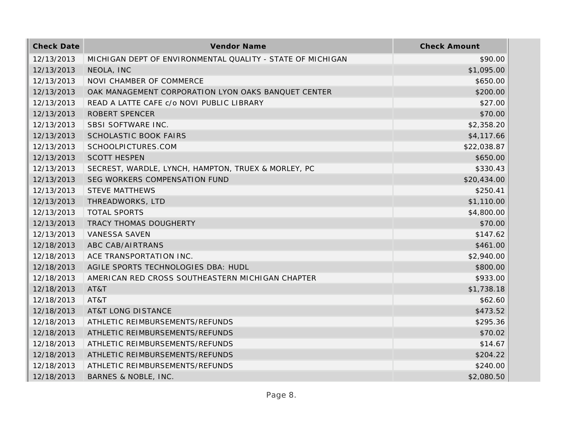| <b>Check Date</b> | Vendor Name                                                | <b>Check Amount</b> |
|-------------------|------------------------------------------------------------|---------------------|
| 12/13/2013        | MICHIGAN DEPT OF ENVIRONMENTAL QUALITY - STATE OF MICHIGAN | \$90.00             |
| 12/13/2013        | NEOLA, INC                                                 | \$1,095.00          |
| 12/13/2013        | NOVI CHAMBER OF COMMERCE                                   | \$650.00            |
| 12/13/2013        | OAK MANAGEMENT CORPORATION LYON OAKS BANQUET CENTER        | \$200.00            |
| 12/13/2013        | READ A LATTE CAFE c/o NOVI PUBLIC LIBRARY                  | \$27.00             |
| 12/13/2013        | <b>ROBERT SPENCER</b>                                      | \$70.00             |
| 12/13/2013        | SBSI SOFTWARE INC.                                         | \$2,358.20          |
| 12/13/2013        | <b>SCHOLASTIC BOOK FAIRS</b>                               | \$4,117.66          |
| 12/13/2013        | SCHOOLPICTURES.COM                                         | \$22,038.87         |
| 12/13/2013        | <b>SCOTT HESPEN</b>                                        | \$650.00            |
| 12/13/2013        | SECREST, WARDLE, LYNCH, HAMPTON, TRUEX & MORLEY, PC        | \$330.43            |
| 12/13/2013        | SEG WORKERS COMPENSATION FUND                              | \$20,434.00         |
| 12/13/2013        | <b>STEVE MATTHEWS</b>                                      | \$250.41            |
| 12/13/2013        | THREADWORKS, LTD                                           | \$1,110.00          |
| 12/13/2013        | <b>TOTAL SPORTS</b>                                        | \$4,800.00          |
| 12/13/2013        | TRACY THOMAS DOUGHERTY                                     | \$70.00             |
| 12/13/2013        | <b>VANESSA SAVEN</b>                                       | \$147.62            |
| 12/18/2013        | ABC CAB/AIRTRANS                                           | \$461.00            |
| 12/18/2013        | ACE TRANSPORTATION INC.                                    | \$2,940.00          |
| 12/18/2013        | AGILE SPORTS TECHNOLOGIES DBA: HUDL                        | \$800.00            |
| 12/18/2013        | AMERICAN RED CROSS SOUTHEASTERN MICHIGAN CHAPTER           | \$933.00            |
| 12/18/2013        | AT&T                                                       | \$1,738.18          |
| 12/18/2013        | AT&T                                                       | \$62.60             |
| 12/18/2013        | <b>AT&amp;T LONG DISTANCE</b>                              | \$473.52            |
| 12/18/2013        | ATHLETIC REIMBURSEMENTS/REFUNDS                            | \$295.36            |
| 12/18/2013        | ATHLETIC REIMBURSEMENTS/REFUNDS                            | \$70.02             |
| 12/18/2013        | ATHLETIC REIMBURSEMENTS/REFUNDS                            | \$14.67             |
| 12/18/2013        | ATHLETIC REIMBURSEMENTS/REFUNDS                            | \$204.22            |
| 12/18/2013        | ATHLETIC REIMBURSEMENTS/REFUNDS                            | \$240.00            |
| 12/18/2013        | BARNES & NOBLE, INC.                                       | \$2,080.50          |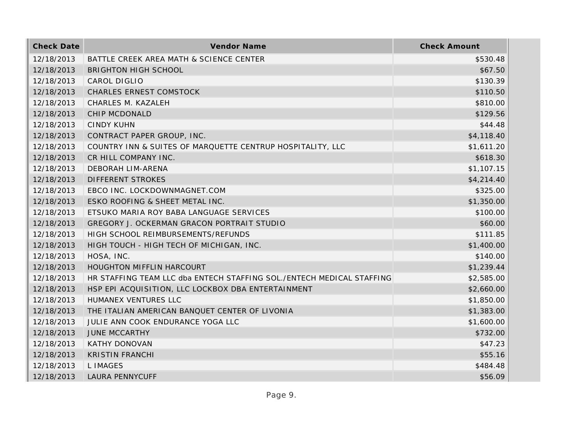| <b>Check Date</b> | Vendor Name                                                           | <b>Check Amount</b> |
|-------------------|-----------------------------------------------------------------------|---------------------|
| 12/18/2013        | BATTLE CREEK AREA MATH & SCIENCE CENTER                               | \$530.48            |
| 12/18/2013        | <b>BRIGHTON HIGH SCHOOL</b>                                           | \$67.50             |
| 12/18/2013        | CAROL DIGLIO                                                          | \$130.39            |
| 12/18/2013        | <b>CHARLES ERNEST COMSTOCK</b>                                        | \$110.50            |
| 12/18/2013        | CHARLES M. KAZALEH                                                    | \$810.00            |
| 12/18/2013        | <b>CHIP MCDONALD</b>                                                  | \$129.56            |
| 12/18/2013        | <b>CINDY KUHN</b>                                                     | \$44.48             |
| 12/18/2013        | CONTRACT PAPER GROUP, INC.                                            | \$4,118.40          |
| 12/18/2013        | COUNTRY INN & SUITES OF MARQUETTE CENTRUP HOSPITALITY, LLC            | \$1,611.20          |
| 12/18/2013        | CR HILL COMPANY INC.                                                  | \$618.30            |
| 12/18/2013        | DEBORAH LIM-ARENA                                                     | \$1,107.15          |
| 12/18/2013        | <b>DIFFERENT STROKES</b>                                              | \$4,214.40          |
| 12/18/2013        | EBCO INC. LOCKDOWNMAGNET.COM                                          | \$325.00            |
| 12/18/2013        | ESKO ROOFING & SHEET METAL INC.                                       | \$1,350.00          |
| 12/18/2013        | ETSUKO MARIA ROY BABA LANGUAGE SERVICES                               | \$100.00            |
| 12/18/2013        | GREGORY J. OCKERMAN GRACON PORTRAIT STUDIO                            | \$60.00             |
| 12/18/2013        | HIGH SCHOOL REIMBURSEMENTS/REFUNDS                                    | \$111.85            |
| 12/18/2013        | HIGH TOUCH - HIGH TECH OF MICHIGAN, INC.                              | \$1,400.00          |
| 12/18/2013        | HOSA, INC.                                                            | \$140.00            |
| 12/18/2013        | HOUGHTON MIFFLIN HARCOURT                                             | \$1,239.44          |
| 12/18/2013        | HR STAFFING TEAM LLC dba ENTECH STAFFING SOL./ENTECH MEDICAL STAFFING | \$2,585.00          |
| 12/18/2013        | HSP EPI ACQUISITION, LLC LOCKBOX DBA ENTERTAINMENT                    | \$2,660.00          |
| 12/18/2013        | HUMANEX VENTURES LLC                                                  | \$1,850.00          |
| 12/18/2013        | THE ITALIAN AMERICAN BANQUET CENTER OF LIVONIA                        | \$1,383.00          |
| 12/18/2013        | JULIE ANN COOK ENDURANCE YOGA LLC                                     | \$1,600.00          |
| 12/18/2013        | <b>JUNE MCCARTHY</b>                                                  | \$732.00            |
| 12/18/2013        | <b>KATHY DONOVAN</b>                                                  | \$47.23             |
| 12/18/2013        | <b>KRISTIN FRANCHI</b>                                                | \$55.16             |
| 12/18/2013        | <b>LIMAGES</b>                                                        | \$484.48            |
| 12/18/2013        | <b>LAURA PENNYCUFF</b>                                                | \$56.09             |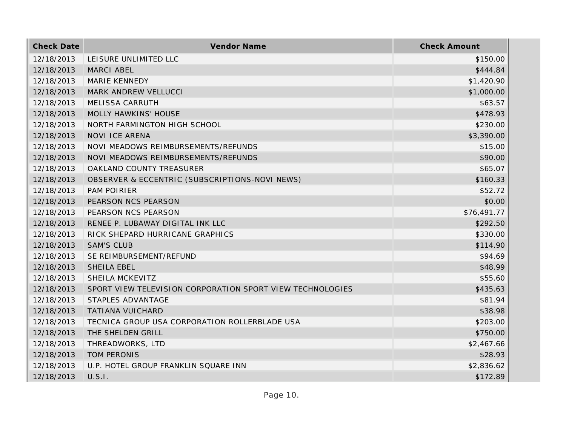| <b>Check Date</b> | Vendor Name                                               | <b>Check Amount</b> |
|-------------------|-----------------------------------------------------------|---------------------|
| 12/18/2013        | LEISURE UNLIMITED LLC                                     | \$150.00            |
| 12/18/2013        | MARCI ABEL                                                | \$444.84            |
| 12/18/2013        | MARIE KENNEDY                                             | \$1,420.90          |
| 12/18/2013        | MARK ANDREW VELLUCCI                                      | \$1,000.00          |
| 12/18/2013        | MELISSA CARRUTH                                           | \$63.57             |
| 12/18/2013        | <b>MOLLY HAWKINS' HOUSE</b>                               | \$478.93            |
| 12/18/2013        | NORTH FARMINGTON HIGH SCHOOL                              | \$230.00            |
| 12/18/2013        | <b>NOVI ICE ARENA</b>                                     | \$3,390.00          |
| 12/18/2013        | NOVI MEADOWS REIMBURSEMENTS/REFUNDS                       | \$15.00             |
| 12/18/2013        | NOVI MEADOWS REIMBURSEMENTS/REFUNDS                       | \$90.00             |
| 12/18/2013        | OAKLAND COUNTY TREASURER                                  | \$65.07             |
| 12/18/2013        | OBSERVER & ECCENTRIC (SUBSCRIPTIONS-NOVI NEWS)            | \$160.33            |
| 12/18/2013        | PAM POIRIER                                               | \$52.72             |
| 12/18/2013        | PEARSON NCS PEARSON                                       | \$0.00              |
| 12/18/2013        | PEARSON NCS PEARSON                                       | \$76,491.77         |
| 12/18/2013        | RENEE P. LUBAWAY DIGITAL INK LLC                          | \$292.50            |
| 12/18/2013        | RICK SHEPARD HURRICANE GRAPHICS                           | \$330.00            |
| 12/18/2013        | <b>SAM'S CLUB</b>                                         | \$114.90            |
| 12/18/2013        | SE REIMBURSEMENT/REFUND                                   | \$94.69             |
| 12/18/2013        | SHEILA EBEL                                               | \$48.99             |
| 12/18/2013        | SHEILA MCKEVITZ                                           | \$55.60             |
| 12/18/2013        | SPORT VIEW TELEVISION CORPORATION SPORT VIEW TECHNOLOGIES | \$435.63            |
| 12/18/2013        | STAPLES ADVANTAGE                                         | \$81.94             |
| 12/18/2013        | <b>TATIANA VUICHARD</b>                                   | \$38.98             |
| 12/18/2013        | TECNICA GROUP USA CORPORATION ROLLERBLADE USA             | \$203.00            |
| 12/18/2013        | THE SHELDEN GRILL                                         | \$750.00            |
| 12/18/2013        | THREADWORKS, LTD                                          | \$2,467.66          |
| 12/18/2013        | TOM PERONIS                                               | \$28.93             |
| 12/18/2013        | U.P. HOTEL GROUP FRANKLIN SQUARE INN                      | \$2,836.62          |
| 12/18/2013        | U.S.I.                                                    | \$172.89            |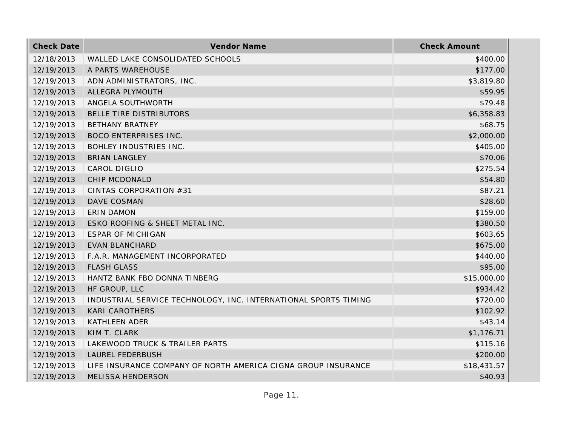| <b>Check Date</b> | Vendor Name                                                     | <b>Check Amount</b> |
|-------------------|-----------------------------------------------------------------|---------------------|
| 12/18/2013        | WALLED LAKE CONSOLIDATED SCHOOLS                                | \$400.00            |
| 12/19/2013        | A PARTS WAREHOUSE                                               | \$177.00            |
| 12/19/2013        | ADN ADMINISTRATORS, INC.                                        | \$3,819.80          |
| 12/19/2013        | ALLEGRA PLYMOUTH                                                | \$59.95             |
| 12/19/2013        | ANGELA SOUTHWORTH                                               | \$79.48             |
| 12/19/2013        | BELLE TIRE DISTRIBUTORS                                         | \$6,358.83          |
| 12/19/2013        | <b>BETHANY BRATNEY</b>                                          | \$68.75             |
| 12/19/2013        | <b>BOCO ENTERPRISES INC.</b>                                    | \$2,000.00          |
| 12/19/2013        | <b>BOHLEY INDUSTRIES INC.</b>                                   | \$405.00            |
| 12/19/2013        | <b>BRIAN LANGLEY</b>                                            | \$70.06             |
| 12/19/2013        | CAROL DIGLIO                                                    | \$275.54            |
| 12/19/2013        | CHIP MCDONALD                                                   | \$54.80             |
| 12/19/2013        | CINTAS CORPORATION #31                                          | \$87.21             |
| 12/19/2013        | DAVE COSMAN                                                     | \$28.60             |
| 12/19/2013        | <b>ERIN DAMON</b>                                               | \$159.00            |
| 12/19/2013        | ESKO ROOFING & SHEET METAL INC.                                 | \$380.50            |
| 12/19/2013        | <b>ESPAR OF MICHIGAN</b>                                        | \$603.65            |
| 12/19/2013        | <b>EVAN BLANCHARD</b>                                           | \$675.00            |
| 12/19/2013        | F.A.R. MANAGEMENT INCORPORATED                                  | \$440.00            |
| 12/19/2013        | <b>FLASH GLASS</b>                                              | \$95.00             |
| 12/19/2013        | HANTZ BANK FBO DONNA TINBERG                                    | \$15,000.00         |
| 12/19/2013        | HF GROUP, LLC                                                   | \$934.42            |
| 12/19/2013        | INDUSTRIAL SERVICE TECHNOLOGY, INC. INTERNATIONAL SPORTS TIMING | \$720.00            |
| 12/19/2013        | <b>KARI CAROTHERS</b>                                           | \$102.92            |
| 12/19/2013        | <b>KATHLEEN ADER</b>                                            | \$43.14             |
| 12/19/2013        | KIM T. CLARK                                                    | \$1,176.71          |
| 12/19/2013        | LAKEWOOD TRUCK & TRAILER PARTS                                  | \$115.16            |
| 12/19/2013        | <b>LAUREL FEDERBUSH</b>                                         | \$200.00            |
| 12/19/2013        | LIFE INSURANCE COMPANY OF NORTH AMERICA CIGNA GROUP INSURANCE   | \$18,431.57         |
| 12/19/2013        | <b>MELISSA HENDERSON</b>                                        | \$40.93             |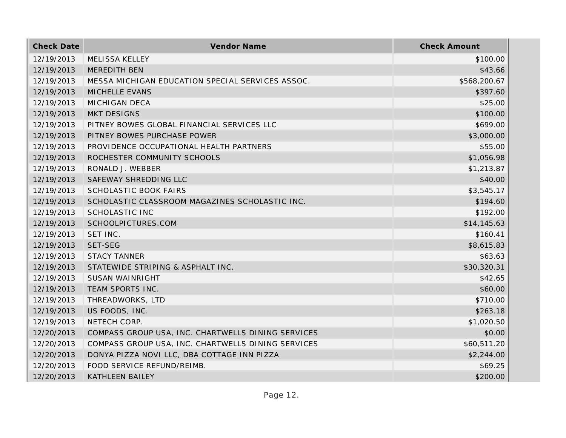| <b>Check Date</b> | Vendor Name                                        | <b>Check Amount</b> |
|-------------------|----------------------------------------------------|---------------------|
| 12/19/2013        | <b>MELISSA KELLEY</b>                              | \$100.00            |
| 12/19/2013        | MEREDITH BEN                                       | \$43.66             |
| 12/19/2013        | MESSA MICHIGAN EDUCATION SPECIAL SERVICES ASSOC.   | \$568,200.67        |
| 12/19/2013        | MICHELLE EVANS                                     | \$397.60            |
| 12/19/2013        | <b>MICHIGAN DECA</b>                               | \$25.00             |
| 12/19/2013        | <b>MKT DESIGNS</b>                                 | \$100.00            |
| 12/19/2013        | PITNEY BOWES GLOBAL FINANCIAL SERVICES LLC         | \$699.00            |
| 12/19/2013        | PITNEY BOWES PURCHASE POWER                        | \$3,000.00          |
| 12/19/2013        | PROVIDENCE OCCUPATIONAL HEALTH PARTNERS            | \$55.00             |
| 12/19/2013        | ROCHESTER COMMUNITY SCHOOLS                        | \$1,056.98          |
| 12/19/2013        | RONALD J. WEBBER                                   | \$1,213.87          |
| 12/19/2013        | SAFEWAY SHREDDING LLC                              | \$40.00             |
| 12/19/2013        | <b>SCHOLASTIC BOOK FAIRS</b>                       | \$3,545.17          |
| 12/19/2013        | SCHOLASTIC CLASSROOM MAGAZINES SCHOLASTIC INC.     | \$194.60            |
| 12/19/2013        | SCHOLASTIC INC                                     | \$192.00            |
| 12/19/2013        | SCHOOLPICTURES.COM                                 | \$14,145.63         |
| 12/19/2013        | SET INC.                                           | \$160.41            |
| 12/19/2013        | SET-SEG                                            | \$8,615.83          |
| 12/19/2013        | <b>STACY TANNER</b>                                | \$63.63             |
| 12/19/2013        | STATEWIDE STRIPING & ASPHALT INC.                  | \$30,320.31         |
| 12/19/2013        | <b>SUSAN WAINRIGHT</b>                             | \$42.65             |
| 12/19/2013        | TEAM SPORTS INC.                                   | \$60.00             |
| 12/19/2013        | THREADWORKS, LTD                                   | \$710.00            |
| 12/19/2013        | US FOODS, INC.                                     | \$263.18            |
| 12/19/2013        | NETECH CORP.                                       | \$1,020.50          |
| 12/20/2013        | COMPASS GROUP USA, INC. CHARTWELLS DINING SERVICES | \$0.00              |
| 12/20/2013        | COMPASS GROUP USA, INC. CHARTWELLS DINING SERVICES | \$60,511.20         |
| 12/20/2013        | DONYA PIZZA NOVI LLC, DBA COTTAGE INN PIZZA        | \$2,244.00          |
| 12/20/2013        | FOOD SERVICE REFUND/REIMB.                         | \$69.25             |
| 12/20/2013        | <b>KATHLEEN BAILEY</b>                             | \$200.00            |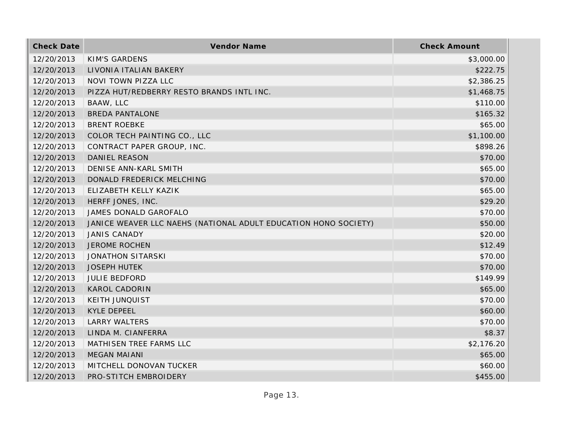| <b>Check Date</b> | Vendor Name                                                     | <b>Check Amount</b> |
|-------------------|-----------------------------------------------------------------|---------------------|
| 12/20/2013        | KIM'S GARDENS                                                   | \$3,000.00          |
| 12/20/2013        | LIVONIA ITALIAN BAKERY                                          | \$222.75            |
| 12/20/2013        | NOVI TOWN PIZZA LLC                                             | \$2,386.25          |
| 12/20/2013        | PIZZA HUT/REDBERRY RESTO BRANDS INTL INC.                       | \$1,468.75          |
| 12/20/2013        | BAAW, LLC                                                       | \$110.00            |
| 12/20/2013        | <b>BREDA PANTALONE</b>                                          | \$165.32            |
| 12/20/2013        | <b>BRENT ROEBKE</b>                                             | \$65.00             |
| 12/20/2013        | COLOR TECH PAINTING CO., LLC                                    | \$1,100.00          |
| 12/20/2013        | CONTRACT PAPER GROUP, INC.                                      | \$898.26            |
| 12/20/2013        | DANIEL REASON                                                   | \$70.00             |
| 12/20/2013        | DENISE ANN-KARL SMITH                                           | \$65.00             |
| 12/20/2013        | DONALD FREDERICK MELCHING                                       | \$70.00             |
| 12/20/2013        | ELIZABETH KELLY KAZIK                                           | \$65.00             |
| 12/20/2013        | HERFF JONES, INC.                                               | \$29.20             |
| 12/20/2013        | JAMES DONALD GAROFALO                                           | \$70.00             |
| 12/20/2013        | JANICE WEAVER LLC NAEHS (NATIONAL ADULT EDUCATION HONO SOCIETY) | \$50.00             |
| 12/20/2013        | <b>JANIS CANADY</b>                                             | \$20.00             |
| 12/20/2013        | <b>JEROME ROCHEN</b>                                            | \$12.49             |
| 12/20/2013        | JONATHON SITARSKI                                               | \$70.00             |
| 12/20/2013        | <b>JOSEPH HUTEK</b>                                             | \$70.00             |
| 12/20/2013        | <b>JULIE BEDFORD</b>                                            | \$149.99            |
| 12/20/2013        | <b>KAROL CADORIN</b>                                            | \$65.00             |
| 12/20/2013        | <b>KEITH JUNQUIST</b>                                           | \$70.00             |
| 12/20/2013        | <b>KYLE DEPEEL</b>                                              | \$60.00             |
| 12/20/2013        | <b>LARRY WALTERS</b>                                            | \$70.00             |
| 12/20/2013        | LINDA M. CIANFERRA                                              | \$8.37              |
| 12/20/2013        | MATHISEN TREE FARMS LLC                                         | \$2,176.20          |
| 12/20/2013        | <b>MEGAN MAIANI</b>                                             | \$65.00             |
| 12/20/2013        | MITCHELL DONOVAN TUCKER                                         | \$60.00             |
| 12/20/2013        | PRO-STITCH EMBROIDERY                                           | \$455.00            |